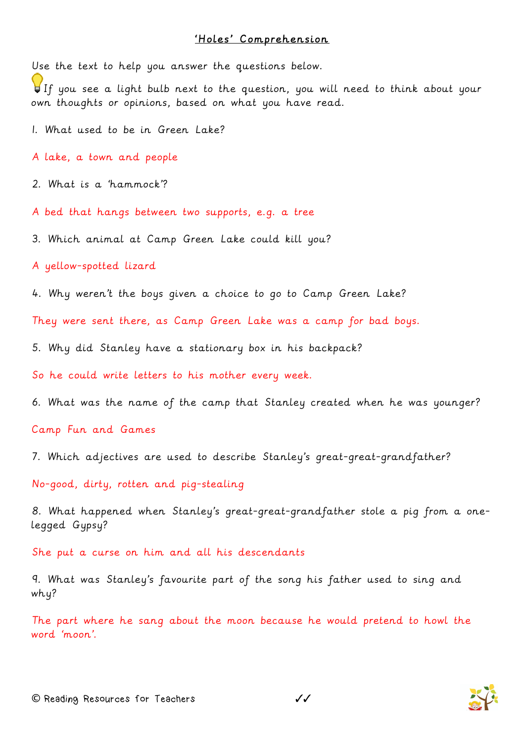## 'Holes' Comprehension

Use the text to help you answer the questions below.

If you see a light bulb next to the question, you will need to think about your own thoughts or opinions, based on what you have read.

1. What used to be in Green Lake?

A lake, a town and people

2. What is a 'hammock'?

A bed that hangs between two supports, e.g. a tree

3. Which animal at Camp Green Lake could kill you?

A yellow-spotted lizard

4. Why weren't the boys given a choice to go to Camp Green Lake?

They were sent there, as Camp Green Lake was a camp for bad boys.

5. Why did Stanley have a stationary box in his backpack?

So he could write letters to his mother every week.

6. What was the name of the camp that Stanley created when he was younger?

Camp Fun and Games

7. Which adjectives are used to describe Stanley's great-great-grandfather?

No-good, dirty, rotten and pig-stealing

8. What happened when Stanley's great-great-grandfather stole a pig from a onelegged Gypsy?

She put a curse on him and all his descendants

9. What was Stanley's favourite part of the song his father used to sing and why?

The part where he sang about the moon because he would pretend to howl the word 'moon'.